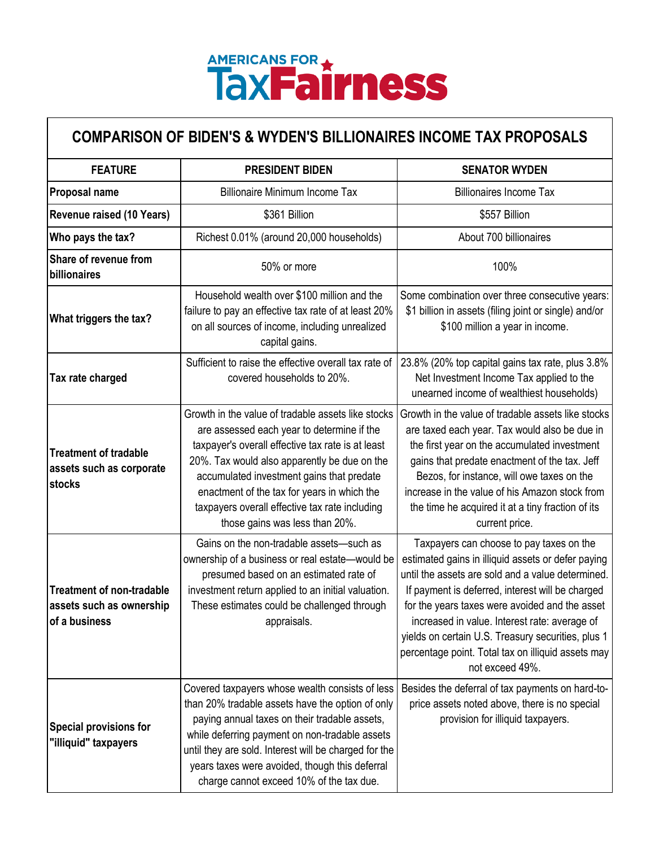## AMERICANS FOR \*\*

## **COMPARISON OF BIDEN'S & WYDEN'S BILLIONAIRES INCOME TAX PROPOSALS**

| <b>FEATURE</b>                                                                | <b>PRESIDENT BIDEN</b>                                                                                                                                                                                                                                                                                                                                                                | <b>SENATOR WYDEN</b>                                                                                                                                                                                                                                                                                                                                                                                                                      |
|-------------------------------------------------------------------------------|---------------------------------------------------------------------------------------------------------------------------------------------------------------------------------------------------------------------------------------------------------------------------------------------------------------------------------------------------------------------------------------|-------------------------------------------------------------------------------------------------------------------------------------------------------------------------------------------------------------------------------------------------------------------------------------------------------------------------------------------------------------------------------------------------------------------------------------------|
| Proposal name                                                                 | <b>Billionaire Minimum Income Tax</b>                                                                                                                                                                                                                                                                                                                                                 | <b>Billionaires Income Tax</b>                                                                                                                                                                                                                                                                                                                                                                                                            |
| Revenue raised (10 Years)                                                     | \$361 Billion                                                                                                                                                                                                                                                                                                                                                                         | \$557 Billion                                                                                                                                                                                                                                                                                                                                                                                                                             |
| Who pays the tax?                                                             | Richest 0.01% (around 20,000 households)                                                                                                                                                                                                                                                                                                                                              | About 700 billionaires                                                                                                                                                                                                                                                                                                                                                                                                                    |
| Share of revenue from<br>billionaires                                         | 50% or more                                                                                                                                                                                                                                                                                                                                                                           | 100%                                                                                                                                                                                                                                                                                                                                                                                                                                      |
| What triggers the tax?                                                        | Household wealth over \$100 million and the<br>failure to pay an effective tax rate of at least 20%<br>on all sources of income, including unrealized<br>capital gains.                                                                                                                                                                                                               | Some combination over three consecutive years:<br>\$1 billion in assets (filing joint or single) and/or<br>\$100 million a year in income.                                                                                                                                                                                                                                                                                                |
| Tax rate charged                                                              | Sufficient to raise the effective overall tax rate of<br>covered households to 20%.                                                                                                                                                                                                                                                                                                   | 23.8% (20% top capital gains tax rate, plus 3.8%<br>Net Investment Income Tax applied to the<br>unearned income of wealthiest households)                                                                                                                                                                                                                                                                                                 |
| <b>Treatment of tradable</b><br>assets such as corporate<br>stocks            | Growth in the value of tradable assets like stocks<br>are assessed each year to determine if the<br>taxpayer's overall effective tax rate is at least<br>20%. Tax would also apparently be due on the<br>accumulated investment gains that predate<br>enactment of the tax for years in which the<br>taxpayers overall effective tax rate including<br>those gains was less than 20%. | Growth in the value of tradable assets like stocks<br>are taxed each year. Tax would also be due in<br>the first year on the accumulated investment<br>gains that predate enactment of the tax. Jeff<br>Bezos, for instance, will owe taxes on the<br>increase in the value of his Amazon stock from<br>the time he acquired it at a tiny fraction of its<br>current price.                                                               |
| <b>Treatment of non-tradable</b><br>assets such as ownership<br>of a business | Gains on the non-tradable assets-such as<br>ownership of a business or real estate-would be<br>presumed based on an estimated rate of<br>investment return applied to an initial valuation.<br>These estimates could be challenged through<br>appraisals.                                                                                                                             | Taxpayers can choose to pay taxes on the<br>estimated gains in illiquid assets or defer paying<br>until the assets are sold and a value determined.<br>If payment is deferred, interest will be charged<br>for the years taxes were avoided and the asset<br>increased in value. Interest rate: average of<br>yields on certain U.S. Treasury securities, plus 1<br>percentage point. Total tax on illiquid assets may<br>not exceed 49%. |
| <b>Special provisions for</b><br>"illiquid" taxpayers                         | Covered taxpayers whose wealth consists of less<br>than 20% tradable assets have the option of only<br>paying annual taxes on their tradable assets,<br>while deferring payment on non-tradable assets<br>until they are sold. Interest will be charged for the<br>years taxes were avoided, though this deferral<br>charge cannot exceed 10% of the tax due.                         | Besides the deferral of tax payments on hard-to-<br>price assets noted above, there is no special<br>provision for illiquid taxpayers.                                                                                                                                                                                                                                                                                                    |